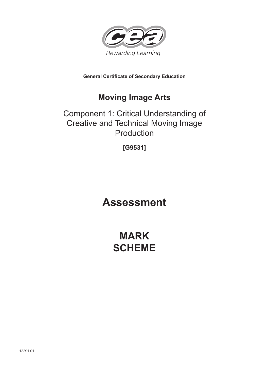

**General Certificate of Secondary Education**

## **Moving Image Arts**

## Component 1: Critical Understanding of Creative and Technical Moving Image Production

**[G9531]**

# **Assessment**

## **MARK SCHEME**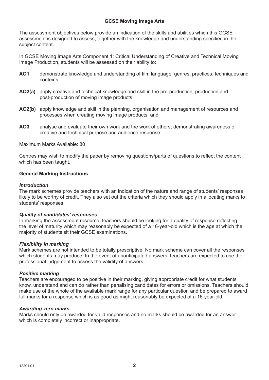## **GCSE Moving Image Arts**

The assessment objectives below provide an indication of the skills and abilities which this GCSE assessment is designed to assess, together with the knowledge and understanding specified in the subject content.

In GCSE Moving Image Arts Component 1: Critical Understanding of Creative and Technical Moving Image Production, students will be assessed on their ability to:

- **AO1** demonstrate knowledge and understanding of film language, genres, practices, techniques and contexts
- **AO2(a)** apply creative and technical knowledge and skill in the pre-production, production and post-production of moving image products
- **AO2(b)** apply knowledge and skill in the planning, organisation and management of resources and processes when creating moving image products; and
- **AO3** analyse and evaluate their own work and the work of others, demonstrating awareness of creative and technical purpose and audience response

Maximum Marks Available: 80

Centres may wish to modify the paper by removing questions/parts of questions to reflect the content which has been taught.

#### **General Marking Instructions**

### *Introduction*

The mark schemes provide teachers with an indication of the nature and range of students' responses likely to be worthy of credit. They also set out the criteria which they should apply in allocating marks to students' responses.

#### *Quality of candidates' responses*

In marking the assessment resource, teachers should be looking for a quality of response reflecting the level of maturity which may reasonably be expected of a 16-year-old which is the age at which the majority of students sit their GCSE examinations.

## *Flexibility in marking*

Mark schemes are not intended to be totally prescriptive. No mark scheme can cover all the responses which students may produce. In the event of unanticipated answers, teachers are expected to use their professional judgement to assess the validity of answers.

#### *Positive marking*

Teachers are encouraged to be positive in their marking, giving appropriate credit for what students know, understand and can do rather than penalising candidates for errors or omissions. Teachers should make use of the whole of the available mark range for any particular question and be prepared to award full marks for a response which is as good as might reasonably be expected of a 16-year-old.

#### *Awarding zero marks*

Marks should only be awarded for valid responses and no marks should be awarded for an answer which is completely incorrect or inappropriate.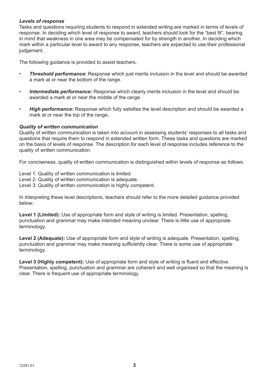## *Levels of response*

Tasks and questions requiring students to respond in extended writing are marked in terms of levels of response. In deciding which level of response to award, teachers should look for the "best fit", bearing in mind that weakness in one area may be compensated for by strength in another. In deciding which mark within a particular level to award to any response, teachers are expected to use their professional judgement.

The following guidance is provided to assist teachers.

- *Threshold performance***:** Response which just merits inclusion in the level and should be awarded a mark at or near the bottom of the range.
- *Intermediate performance***:** Response which clearly merits inclusion in the level and should be awarded a mark at or near the middle of the range.
- *High performance***:** Response which fully satisfies the level description and should be awarded a mark at or near the top of the range.

#### *Quality of written communication*

Quality of written communication is taken into account in assessing students' responses to all tasks and questions that require them to respond in extended written form. These tasks and questions are marked on the basis of levels of response. The description for each level of response includes reference to the quality of written communication.

For conciseness, quality of written communication is distinguished within levels of response as follows:

Level 1: Quality of written communication is limited.

- Level 2: Quality of written communication is adequate.
- Level 3: Quality of written communication is highly competent.

In interpreting these level descriptions, teachers should refer to the more detailed guidance provided below:

**Level 1 (Limited):** Use of appropriate form and style of writing is limited. Presentation, spelling, punctuation and grammar may make intended meaning unclear. There is little use of appropriate terminology.

**Level 2 (Adequate):** Use of appropriate form and style of writing is adequate. Presentation, spelling, punctuation and grammar may make meaning sufficiently clear. There is some use of appropriate terminology.

**Level 3 (Highly competent):** Use of appropriate form and style of writing is fluent and effective. Presentation, spelling, punctuation and grammar are coherent and well organised so that the meaning is clear. There is frequent use of appropriate terminology.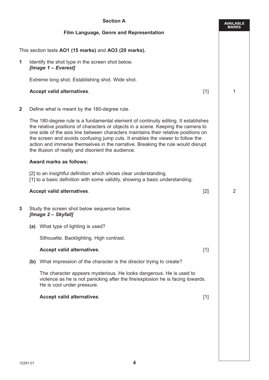| <b>Section A</b> |  |                                                                                                                                                                                                                                                                                                                                                                                                                                                                                           | <b>AVAILABLE</b><br><b>MARKS</b> |   |
|------------------|--|-------------------------------------------------------------------------------------------------------------------------------------------------------------------------------------------------------------------------------------------------------------------------------------------------------------------------------------------------------------------------------------------------------------------------------------------------------------------------------------------|----------------------------------|---|
|                  |  | Film Language, Genre and Representation                                                                                                                                                                                                                                                                                                                                                                                                                                                   |                                  |   |
|                  |  | This section tests AO1 (15 marks) and AO3 (20 marks).                                                                                                                                                                                                                                                                                                                                                                                                                                     |                                  |   |
| 1                |  | Identify the shot type in the screen shot below.<br>[Image 1 - Everest]                                                                                                                                                                                                                                                                                                                                                                                                                   |                                  |   |
|                  |  | Extreme long shot. Establishing shot. Wide shot.                                                                                                                                                                                                                                                                                                                                                                                                                                          |                                  |   |
|                  |  | <b>Accept valid alternatives.</b>                                                                                                                                                                                                                                                                                                                                                                                                                                                         | $[1]$                            | 1 |
| $\mathbf{2}$     |  | Define what is meant by the 180-degree rule.                                                                                                                                                                                                                                                                                                                                                                                                                                              |                                  |   |
|                  |  | The 180-degree rule is a fundamental element of continuity editing. It establishes<br>the relative positions of characters or objects in a scene. Keeping the camera to<br>one side of the axis line between characters maintains their relative positions on<br>the screen and avoids confusing jump cuts. It enables the viewer to follow the<br>action and immerse themselves in the narrative. Breaking the rule would disrupt<br>the illusion of reality and disorient the audience. |                                  |   |
|                  |  | <b>Award marks as follows:</b>                                                                                                                                                                                                                                                                                                                                                                                                                                                            |                                  |   |
|                  |  | [2] to an insightful definition which shows clear understanding.<br>[1] to a basic definition with some validity, showing a basic understanding.                                                                                                                                                                                                                                                                                                                                          |                                  |   |
|                  |  | Accept valid alternatives.                                                                                                                                                                                                                                                                                                                                                                                                                                                                | [2]                              | 2 |
| 3                |  | Study the screen shot below sequence below.<br>[Image 2 - Skyfall]                                                                                                                                                                                                                                                                                                                                                                                                                        |                                  |   |
|                  |  | (a) What type of lighting is used?                                                                                                                                                                                                                                                                                                                                                                                                                                                        |                                  |   |
|                  |  | Silhouette. Backlighting. High contrast.                                                                                                                                                                                                                                                                                                                                                                                                                                                  |                                  |   |
|                  |  | Accept valid alternatives.                                                                                                                                                                                                                                                                                                                                                                                                                                                                | $[1]$                            |   |
|                  |  | (b) What impression of the character is the director trying to create?                                                                                                                                                                                                                                                                                                                                                                                                                    |                                  |   |
|                  |  | The character appears mysterious. He looks dangerous. He is used to<br>violence as he is not panicking after the fire/explosion he is facing towards.<br>He is cool under pressure.                                                                                                                                                                                                                                                                                                       |                                  |   |
|                  |  | Accept valid alternatives.                                                                                                                                                                                                                                                                                                                                                                                                                                                                | $[1]$                            |   |
|                  |  |                                                                                                                                                                                                                                                                                                                                                                                                                                                                                           |                                  |   |
|                  |  |                                                                                                                                                                                                                                                                                                                                                                                                                                                                                           |                                  |   |
|                  |  |                                                                                                                                                                                                                                                                                                                                                                                                                                                                                           |                                  |   |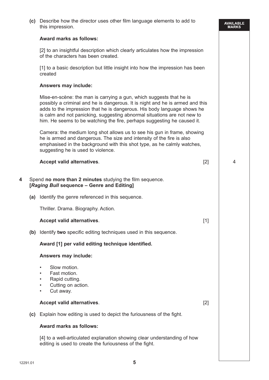|   |     | (c) Describe how the director uses other film language elements to add to<br>this impression.                                                                                                                                                                                                                                                                                          |       | AVAILABLE<br>MARKS |
|---|-----|----------------------------------------------------------------------------------------------------------------------------------------------------------------------------------------------------------------------------------------------------------------------------------------------------------------------------------------------------------------------------------------|-------|--------------------|
|   |     | <b>Award marks as follows:</b>                                                                                                                                                                                                                                                                                                                                                         |       |                    |
|   |     | [2] to an insightful description which clearly articulates how the impression<br>of the characters has been created.                                                                                                                                                                                                                                                                   |       |                    |
|   |     | [1] to a basic description but little insight into how the impression has been<br>created                                                                                                                                                                                                                                                                                              |       |                    |
|   |     | <b>Answers may include:</b>                                                                                                                                                                                                                                                                                                                                                            |       |                    |
|   |     | Mise-en-scène: the man is carrying a gun, which suggests that he is<br>possibly a criminal and he is dangerous. It is night and he is armed and this<br>adds to the impression that he is dangerous. His body language shows he<br>is calm and not panicking, suggesting abnormal situations are not new to<br>him. He seems to be watching the fire, perhaps suggesting he caused it. |       |                    |
|   |     | Camera: the medium long shot allows us to see his gun in frame, showing<br>he is armed and dangerous. The size and intensity of the fire is also<br>emphasised in the background with this shot type, as he calmly watches,<br>suggesting he is used to violence.                                                                                                                      |       |                    |
|   |     | Accept valid alternatives.                                                                                                                                                                                                                                                                                                                                                             | $[2]$ | 4                  |
| 4 |     | Spend no more than 2 minutes studying the film sequence.<br>[Raging Bull sequence - Genre and Editing]                                                                                                                                                                                                                                                                                 |       |                    |
|   |     | (a) Identify the genre referenced in this sequence.                                                                                                                                                                                                                                                                                                                                    |       |                    |
|   |     | Thriller. Drama. Biography. Action.                                                                                                                                                                                                                                                                                                                                                    |       |                    |
|   |     | <b>Accept valid alternatives.</b>                                                                                                                                                                                                                                                                                                                                                      | $[1]$ |                    |
|   | (b) | Identify two specific editing techniques used in this sequence.                                                                                                                                                                                                                                                                                                                        |       |                    |
|   |     | Award [1] per valid editing technique identified.                                                                                                                                                                                                                                                                                                                                      |       |                    |
|   |     | <b>Answers may include:</b>                                                                                                                                                                                                                                                                                                                                                            |       |                    |
|   |     | Slow motion.<br>$\bullet$<br>Fast motion.<br>Rapid cutting.<br>$\bullet$<br>Cutting on action.<br>$\bullet$<br>Cut away.<br>$\bullet$                                                                                                                                                                                                                                                  |       |                    |
|   |     | Accept valid alternatives.                                                                                                                                                                                                                                                                                                                                                             | $[2]$ |                    |
|   | (c) | Explain how editing is used to depict the furiousness of the fight.                                                                                                                                                                                                                                                                                                                    |       |                    |
|   |     | <b>Award marks as follows:</b>                                                                                                                                                                                                                                                                                                                                                         |       |                    |
|   |     | [4] to a well-articulated explanation showing clear understanding of how<br>editing is used to create the furiousness of the fight.                                                                                                                                                                                                                                                    |       |                    |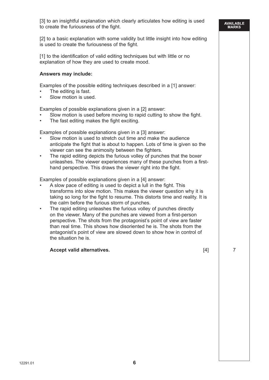[2] to a basic explanation with some validity but little insight into how editing is used to create the furiousness of the fight.

[1] to the identification of valid editing techniques but with little or no explanation of how they are used to create mood.

#### **Answers may include:**

Examples of the possible editing techniques described in a [1] answer:

- The editing is fast.
- Slow motion is used.

Examples of possible explanations given in a [2] answer:

- Slow motion is used before moving to rapid cutting to show the fight.
- The fast editing makes the fight exciting.

Examples of possible explanations given in a [3] answer:

- Slow motion is used to stretch out time and make the audience anticipate the fight that is about to happen. Lots of time is given so the viewer can see the animosity between the fighters.
- The rapid editing depicts the furious volley of punches that the boxer unleashes. The viewer experiences many of these punches from a firsthand perspective. This draws the viewer right into the fight.

Examples of possible explanations given in a [4] answer:

- A slow pace of editing is used to depict a lull in the fight. This transforms into slow motion. This makes the viewer question why it is taking so long for the fight to resume. This distorts time and reality. It is the calm before the furious storm of punches.
- The rapid editing unleashes the furious volley of punches directly on the viewer. Many of the punches are viewed from a first-person perspective. The shots from the protagonist's point of view are faster than real time. This shows how disoriented he is. The shots from the antagonist's point of view are slowed down to show how in control of the situation he is.

#### **Accept valid alternatives.** The same state of the set of the set of the set of the set of the set of the set of the set of the set of the set of the set of the set of the set of the set of the set of the set of the set of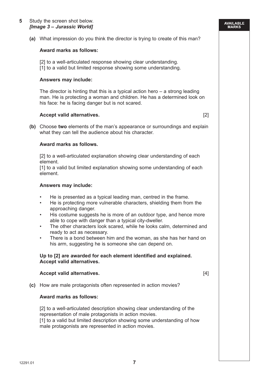**(a)** What impression do you think the director is trying to create of this man?

#### **Award marks as follows:**

[2] to a well-articulated response showing clear understanding. [1] to a valid but limited response showing some understanding.

#### **Answers may include:**

The director is hinting that this is a typical action hero  $-$  a strong leading man. He is protecting a woman and children. He has a determined look on his face: he is facing danger but is not scared.

#### **Accept valid alternatives.** [2]

**(b)** Choose **two** elements of the man's appearance or surroundings and explain what they can tell the audience about his character.

#### **Award marks as follows.**

[2] to a well-articulated explanation showing clear understanding of each element.

 [1] to a valid but limited explanation showing some understanding of each element.

#### **Answers may include:**

- He is presented as a typical leading man, centred in the frame.
- He is protecting more vulnerable characters, shielding them from the approaching danger.
- His costume suggests he is more of an outdoor type, and hence more able to cope with danger than a typical city-dweller.
- The other characters look scared, while he looks calm, determined and ready to act as necessary.
- There is a bond between him and the woman, as she has her hand on his arm, suggesting he is someone she can depend on.

#### **Up to [2] are awarded for each element identified and explained. Accept valid alternatives.**

#### **Accept valid alternatives.** [4]

**(c)** How are male protagonists often represented in action movies?

#### **Award marks as follows:**

[2] to a well-articulated description showing clear understanding of the representation of male protagonists in action movies. [1] to a valid but limited description showing some understanding of how male protagonists are represented in action movies.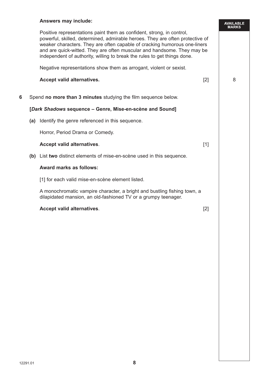## **Answers may include:**

 Positive representations paint them as confident, strong, in control, powerful, skilled, determined, admirable heroes. They are often protective of weaker characters. They are often capable of cracking humorous one-liners and are quick-witted. They are often muscular and handsome. They may be independent of authority, willing to break the rules to get things done.

Negative representations show them as arrogant, violent or sexist.

## **Accept valid alternatives.** [2] 8

AVAILABLE<br>MARKS

**6** Spend **no more than 3 minutes** studying the film sequence below.

## **[***Dark Shadows* **sequence – Genre, Mise-en-scène and Sound]**

**(a)** Identify the genre referenced in this sequence.

Horror, Period Drama or Comedy.

## **Accept valid alternatives.** The set of the set of the set of the set of the set of the set of the set of the set of the set of the set of the set of the set of the set of the set of the set of the set of the set of the se

**(b)** List **two** distinct elements of mise-en-scène used in this sequence.

## **Award marks as follows:**

[1] for each valid mise-en-scène element listed.

 A monochromatic vampire character, a bright and bustling fishing town, a dilapidated mansion, an old-fashioned TV or a grumpy teenager.

## **Accept valid alternatives**. [2]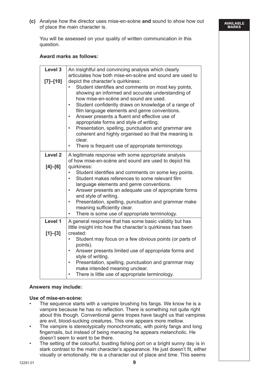**(c)** Analyse how the director uses mise-en-scène **and** sound to show how out of place the main character is.

AVAILABLE<br>MARKS

You will be assessed on your quality of written communication in this question.

## **Award marks as follows:**

| Level 3<br>[7]–[10] | An insightful and convincing analysis which clearly<br>articulates how both mise-en-scène and sound are used to<br>depict the character's quirkiness:<br>Student identifies and comments on most key points,<br>showing an informed and accurate understanding of<br>how mise-en-scène and sound are used.<br>Student confidently draws on knowledge of a range of<br>$\bullet$<br>film language elements and genre conventions.<br>Answer presents a fluent and effective use of<br>٠<br>appropriate forms and style of writing.<br>Presentation, spelling, punctuation and grammar are<br>coherent and highly organised so that the meaning is<br>clear.<br>There is frequent use of appropriate terminology. |
|---------------------|-----------------------------------------------------------------------------------------------------------------------------------------------------------------------------------------------------------------------------------------------------------------------------------------------------------------------------------------------------------------------------------------------------------------------------------------------------------------------------------------------------------------------------------------------------------------------------------------------------------------------------------------------------------------------------------------------------------------|
| Level <sub>2</sub>  | A legitimate response with some appropriate analysis                                                                                                                                                                                                                                                                                                                                                                                                                                                                                                                                                                                                                                                            |
|                     | of how mise-en-scène and sound are used to depict his                                                                                                                                                                                                                                                                                                                                                                                                                                                                                                                                                                                                                                                           |
| $[4]-[6]$           | quirkiness:<br>Student identifies and comments on some key points.<br>Student makes references to some relevant film<br>$\bullet$<br>language elements and genre conventions.<br>Answer presents an adequate use of appropriate forms<br>$\bullet$<br>and style of writing.<br>Presentation, spelling, punctuation and grammar make<br>$\bullet$<br>meaning sufficiently clear.<br>There is some use of appropriate terminology.                                                                                                                                                                                                                                                                                |
| Level 1             | A general response that has some basic validity but has<br>little insight into how the character's quirkiness has been                                                                                                                                                                                                                                                                                                                                                                                                                                                                                                                                                                                          |
| $[1]-[3]$           | created:<br>Student may focus on a few obvious points (or parts of<br>points).<br>Answer presents limited use of appropriate forms and<br>$\bullet$<br>style of writing.<br>Presentation, spelling, punctuation and grammar may<br>$\bullet$<br>make intended meaning unclear.<br>There is little use of appropriate terminology.<br>$\bullet$                                                                                                                                                                                                                                                                                                                                                                  |

## **Answers may include:**

#### **Use of mise-en-scène:**

- The sequence starts with a vampire brushing his fangs. We know he is a vampire because he has no reflection. There is something not quite right about this though. Conventional genre tropes have taught us that vampires are evil, blood-sucking creatures. This one appears more mellow.
- The vampire is stereotypically monochromatic, with pointy fangs and long fingernails, but instead of being menacing he appears melancholic. He doesn't seem to want to be there.
- The setting of the colourful, bustling fishing port on a bright sunny day is in stark contrast to the main character's appearance. He just doesn't fit, either visually or emotionally. He is a character out of place and time. This seems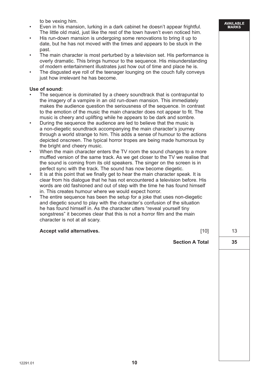to be vexing him.

- Even in his mansion, lurking in a dark cabinet he doesn't appear frightful. The little old maid, just like the rest of the town haven't even noticed him.
- His run-down mansion is undergoing some renovations to bring it up to date, but he has not moved with the times and appears to be stuck in the past.
- The main character is most perturbed by a television set. His performance is overly dramatic. This brings humour to the sequence. His misunderstanding of modern entertainment illustrates just how out of time and place he is.
- The disgusted eye roll of the teenager lounging on the couch fully conveys just how irrelevant he has become.

#### **Use of sound:**

- The sequence is dominated by a cheery soundtrack that is contrapuntal to the imagery of a vampire in an old run-down mansion. This immediately makes the audience question the seriousness of the sequence. In contrast to the emotion of the music the main character does not appear to fit. The music is cheery and uplifting while he appears to be dark and sombre.
- During the sequence the audience are led to believe that the music is a non-diegetic soundtrack accompanying the main character's journey through a world strange to him. This adds a sense of humour to the actions depicted onscreen. The typical horror tropes are being made humorous by the bright and cheery music.
- When the main character enters the TV room the sound changes to a more muffled version of the same track. As we get closer to the TV we realise that the sound is coming from its old speakers. The singer on the screen is in perfect sync with the track. The sound has now become diegetic.
- It is at this point that we finally get to hear the main character speak. It is clear from his dialogue that he has not encountered a television before. His words are old fashioned and out of step with the time he has found himself in. This creates humour where we would expect horror.
- The entire sequence has been the setup for a joke that uses non-diegetic and diegetic sound to play with the character's confusion of the situation he has found himself in. As the character utters "reveal yourself tiny songstress" it becomes clear that this is not a horror film and the main character is not at all scary.

## **Accept valid alternatives.** The contract of the contract of the contract of the contract of the contract of the contract of the contract of the contract of the contract of the contract of the contract of the contract of t

| <b>Section A Total</b> |  |
|------------------------|--|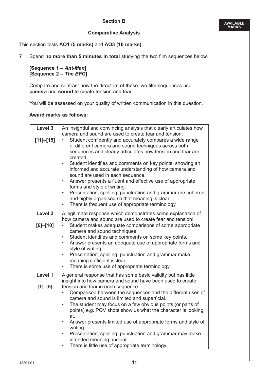## **Comparative Analysis**

This section tests **AO1 (5 marks)** and **AO3 (10 marks).**

**7** Spend **no more than 5 minutes in total** studying the two film sequences below.

**[Sequence 1 –** *Ant-Man***] [Sequence 2 –** *The BFG***]**

Compare and contrast how the directors of these two film sequences use **camera** and **sound** to create tension and fear.

You will be assessed on your quality of written communication in this question.

## **Award marks as follows:**

| Level 3<br>$[11]-[15]$             | An insightful and convincing analysis that clearly articulates how<br>camera and sound are used to create fear and tension:<br>Student confidently and accurately compares a wide range<br>$\bullet$<br>of different camera and sound techniques across both<br>sequences and clearly articulates how tension and fear are<br>created.<br>Student identifies and comments on key points, showing an<br>$\bullet$<br>informed and accurate understanding of how camera and<br>sound are used in each sequence.<br>Answer presents a fluent and effective use of appropriate<br>$\bullet$<br>forms and style of writing.<br>Presentation, spelling, punctuation and grammar are coherent<br>$\bullet$<br>and highly organised so that meaning is clear.<br>There is frequent use of appropriate terminology.<br>$\bullet$ |
|------------------------------------|-------------------------------------------------------------------------------------------------------------------------------------------------------------------------------------------------------------------------------------------------------------------------------------------------------------------------------------------------------------------------------------------------------------------------------------------------------------------------------------------------------------------------------------------------------------------------------------------------------------------------------------------------------------------------------------------------------------------------------------------------------------------------------------------------------------------------|
| Level <sub>2</sub><br>$[6] - [10]$ | A legitimate response which demonstrates some explanation of<br>how camera and sound are used to create fear and tension:<br>Student makes adequate comparisons of some appropriate<br>$\bullet$<br>camera and sound techniques.<br>Student identifies and comments on some key points.<br>$\bullet$<br>Answer presents an adequate use of appropriate forms and<br>$\bullet$<br>style of writing.<br>Presentation, spelling, punctuation and grammar make<br>$\bullet$<br>meaning sufficiently clear.<br>There is some use of appropriate terminology.<br>$\bullet$                                                                                                                                                                                                                                                    |
| Level 1<br>$[1]-[5]$               | A general response that has some basic validity but has little<br>insight into how camera and sound have been used to create<br>tension and fear in each sequence:<br>Comparison between the sequences and the different uses of<br>$\bullet$<br>camera and sound is limited and superficial.<br>The student may focus on a few obvious points (or parts of<br>$\bullet$<br>points) e.g. POV shots show us what the character is looking<br>at.<br>Answer presents limited use of appropriate forms and style of<br>$\bullet$<br>writing.<br>Presentation, spelling, punctuation and grammar may make<br>$\bullet$<br>intended meaning unclear.<br>There is little use of appropriate terminology.<br>$\bullet$                                                                                                         |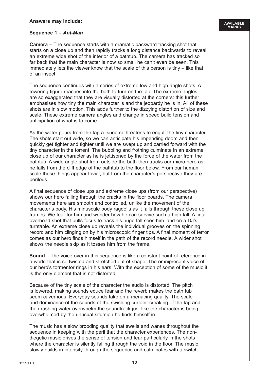## **Answers may include:**

## **Sequence 1 –** *Ant-Man*

 **Camera –** The sequence starts with a dramatic backward tracking shot that starts on a close up and then rapidly tracks a long distance backwards to reveal an extreme wide shot of the interior of a bathtub. The camera has tracked so far back that the main character is now so small he can't even be seen. This immediately lets the viewer know that the scale of this person is tiny – like that of an insect.

AVAILABLE<br>MARKS

The sequence continues with a series of extreme low and high angle shots. A towering figure reaches into the bath to turn on the tap. The extreme angles are so exaggerated that they are visually distorted at the corners: this further emphasises how tiny the main character is and the jeopardy he is in. All of these shots are in slow motion. This adds further to the dizzying distortion of size and scale. These extreme camera angles and change in speed build tension and anticipation of what is to come.

As the water pours from the tap a tsunami threatens to engulf the tiny character. The shots start out wide, so we can anticipate his impending doom and then quickly get tighter and tighter until we are swept up and carried forward with the tiny character in the torrent. The bubbling and frothing culminate in an extreme close up of our character as he is jettisoned by the force of the water from the bathtub. A wide angle shot from outside the bath then tracks our micro hero as he falls from the cliff edge of the bathtub to the floor below. From our human scale these things appear trivial, but from the character's perspective they are perilous.

A final sequence of close ups and extreme close ups (from our perspective) shows our hero falling through the cracks in the floor boards. The camera movements here are smooth and controlled, unlike the movement of the character's body. His minuscule body ragdolls as it falls through these close up frames. We fear for him and wonder how he can survive such a high fall. A final overhead shot that pulls focus to track his huge fall sees him land on a DJ's turntable. An extreme close up reveals the individual grooves on the spinning record and him clinging on by his microscopic finger tips. A final moment of terror comes as our hero finds himself in the path of the record needle. A wider shot shows the needle skip as it tosses him from the frame.

**Sound –** The voice-over in this sequence is like a constant point of reference in a world that is so twisted and stretched out of shape. The omnipresent voice of our hero's tormentor rings in his ears. With the exception of some of the music it is the only element that is not distorted.

Because of the tiny scale of the character the audio is distorted. The pitch is lowered, making sounds educe fear and the reverb makes the bath tub seem cavernous. Everyday sounds take on a menacing quality. The scale and dominance of the sounds of the swishing curtain, creaking of the tap and then rushing water overwhelm the soundtrack just like the character is being overwhelmed by the unusual situation he finds himself in.

The music has a slow brooding quality that swells and wanes throughout the sequence in keeping with the peril that the character experiences. The nondiegetic music drives the sense of tension and fear particularly in the shots where the character is silently falling through the void in the floor. The music slowly builds in intensity through the sequence and culminates with a switch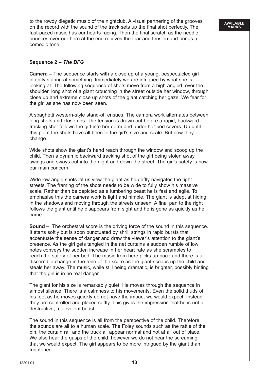to the rowdy diegetic music of the nightclub. A visual partnering of the grooves on the record with the sound of the track sets up the final shot perfectly. The fast-paced music has our hearts racing. Then the final scratch as the needle bounces over our hero at the end relieves the fear and tension and brings a comedic tone.

### **Sequence 2 –** *The BFG*

**Camera –** The sequence starts with a close up of a young, bespectacled girl intently staring at something. Immediately we are intrigued by what she is looking at. The following sequence of shots move from a high angled, over the shoulder, long shot of a giant crouching in the street outside her window, through close up and extreme close up shots of the giant catching her gaze. We fear for the girl as she has now been seen.

A spaghetti western-style stand-off ensues. The camera work alternates between long shots and close ups. The tension is drawn out before a rapid, backward tracking shot follows the girl into her dorm and under her bed covers. Up until this point the shots have all been to the girl's size and scale. But now they change.

Wide shots show the giant's hand reach through the window and scoop up the child. Then a dynamic backward tracking shot of the girl being stolen away swings and sways out into the night and down the street. The girl's safety is now our main concern.

Wide low angle shots let us view the giant as he deftly navigates the tight streets. The framing of the shots needs to be wide to fully show his massive scale. Rather than be depicted as a lumbering beast he is fast and agile. To emphasise this the camera work is light and nimble. The giant is adept at hiding in the shadows and moving through the streets unseen. A final pan to the right follows the giant until he disappears from sight and he is gone as quickly as he came.

**Sound –** The orchestral score is the driving force of the sound in this sequence. It starts softly but is soon punctuated by shrill strings in rapid bursts that accentuate the sense of danger and draw the viewer's attention to the giant's presence. As the girl gets tangled in the net curtains a sudden rumble of low notes conveys the sudden increase in her heart rate as she scrambles to reach the safety of her bed. The music from here picks up pace and there is a discernible change in the tone of the score as the giant scoops up the child and steals her away. The music, while still being dramatic, is brighter, possibly hinting that the girl is in no real danger.

The giant for his size is remarkably quiet. He moves through the sequence in almost silence. There is a calmness to his movements. Even the solid thuds of his feet as he moves quickly do not have the impact we would expect. Instead they are controlled and placed softly. This gives the impression that he is not a destructive, malevolent beast.

The sound in this sequence is all from the perspective of the child. Therefore, the sounds are all to a human scale. The Foley sounds such as the rattle of the bin, the curtain rail and the truck all appear normal and not at all out of place. We also hear the gasps of the child, however we do not hear the screaming that we would expect. The girl appears to be more intrigued by the giant than frightened.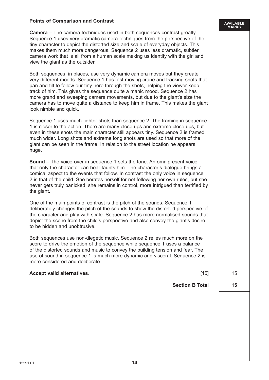## **Points of Comparison and Contrast**

**Camera –** The camera techniques used in both sequences contrast greatly. Sequence 1 uses very dramatic camera techniques from the perspective of the tiny character to depict the distorted size and scale of everyday objects. This makes them much more dangerous. Sequence 2 uses less dramatic, subtler camera work that is all from a human scale making us identify with the girl and view the giant as the outsider.

Both sequences, in places, use very dynamic camera moves but they create very different moods. Sequence 1 has fast moving crane and tracking shots that pan and tilt to follow our tiny hero through the shots, helping the viewer keep track of him. This gives the sequence quite a manic mood. Sequence 2 has more grand and sweeping camera movements, but due to the giant's size the camera has to move quite a distance to keep him in frame. This makes the giant look nimble and quick.

Sequence 1 uses much tighter shots than sequence 2. The framing in sequence 1 is closer to the action. There are many close ups and extreme close ups, but even in these shots the main character still appears tiny. Sequence 2 is framed much wider. Long shots and extreme long shots are used so that more of the giant can be seen in the frame. In relation to the street location he appears huge.

**Sound –** The voice-over in sequence 1 sets the tone. An omnipresent voice that only the character can hear taunts him. The character's dialogue brings a comical aspect to the events that follow. In contrast the only voice in sequence 2 is that of the child. She berates herself for not following her own rules, but she never gets truly panicked, she remains in control, more intrigued than terrified by the giant.

One of the main points of contrast is the pitch of the sounds. Sequence 1 deliberately changes the pitch of the sounds to show the distorted perspective of the character and play with scale. Sequence 2 has more normalised sounds that depict the scene from the child's perspective and also convey the giant's desire to be hidden and unobtrusive.

Both sequences use non-diegetic music. Sequence 2 relies much more on the score to drive the emotion of the sequence while sequence 1 uses a balance of the distorted sounds and music to convey the building tension and fear. The use of sound in sequence 1 is much more dynamic and visceral. Sequence 2 is more considered and deliberate.

#### **Accept valid alternatives.** The contract of the contract of the contract of the contract of the contract of the contract of the contract of the contract of the contract of the contract of the contract of the contract of t

**Section B Total 15**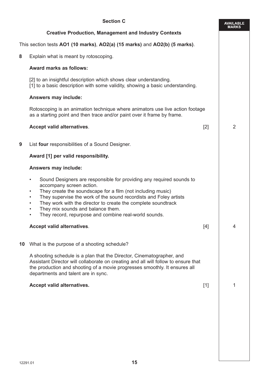|    | <b>Section C</b>                                                                                                                                                                                                                                                                                                                                                                                                                                                                  |       | <b>AVAILABLE</b><br><b>MARKS</b> |  |  |
|----|-----------------------------------------------------------------------------------------------------------------------------------------------------------------------------------------------------------------------------------------------------------------------------------------------------------------------------------------------------------------------------------------------------------------------------------------------------------------------------------|-------|----------------------------------|--|--|
|    | <b>Creative Production, Management and Industry Contexts</b>                                                                                                                                                                                                                                                                                                                                                                                                                      |       |                                  |  |  |
|    | This section tests AO1 (10 marks), AO2(a) (15 marks) and AO2(b) (5 marks).                                                                                                                                                                                                                                                                                                                                                                                                        |       |                                  |  |  |
| 8  | Explain what is meant by rotoscoping.                                                                                                                                                                                                                                                                                                                                                                                                                                             |       |                                  |  |  |
|    | <b>Award marks as follows:</b>                                                                                                                                                                                                                                                                                                                                                                                                                                                    |       |                                  |  |  |
|    | [2] to an insightful description which shows clear understanding.<br>[1] to a basic description with some validity, showing a basic understanding.                                                                                                                                                                                                                                                                                                                                |       |                                  |  |  |
|    | Answers may include:                                                                                                                                                                                                                                                                                                                                                                                                                                                              |       |                                  |  |  |
|    | Rotoscoping is an animation technique where animators use live action footage<br>as a starting point and then trace and/or paint over it frame by frame.                                                                                                                                                                                                                                                                                                                          |       |                                  |  |  |
|    | Accept valid alternatives.                                                                                                                                                                                                                                                                                                                                                                                                                                                        | [2]   | 2                                |  |  |
| 9  | List four responsibilities of a Sound Designer.                                                                                                                                                                                                                                                                                                                                                                                                                                   |       |                                  |  |  |
|    | Award [1] per valid responsibility.                                                                                                                                                                                                                                                                                                                                                                                                                                               |       |                                  |  |  |
|    | Answers may include:                                                                                                                                                                                                                                                                                                                                                                                                                                                              |       |                                  |  |  |
|    | Sound Designers are responsible for providing any required sounds to<br>$\bullet$<br>accompany screen action.<br>They create the soundscape for a film (not including music)<br>$\bullet$<br>They supervise the work of the sound recordists and Foley artists<br>$\bullet$<br>They work with the director to create the complete soundtrack<br>$\bullet$<br>They mix sounds and balance them.<br>$\bullet$<br>They record, repurpose and combine real-world sounds.<br>$\bullet$ |       |                                  |  |  |
|    | Accept valid alternatives.                                                                                                                                                                                                                                                                                                                                                                                                                                                        | [4]   | 4                                |  |  |
| 10 | What is the purpose of a shooting schedule?                                                                                                                                                                                                                                                                                                                                                                                                                                       |       |                                  |  |  |
|    | A shooting schedule is a plan that the Director, Cinematographer, and<br>Assistant Director will collaborate on creating and all will follow to ensure that<br>the production and shooting of a movie progresses smoothly. It ensures all<br>departments and talent are in sync.                                                                                                                                                                                                  |       |                                  |  |  |
|    | Accept valid alternatives.                                                                                                                                                                                                                                                                                                                                                                                                                                                        | $[1]$ | 1                                |  |  |
|    |                                                                                                                                                                                                                                                                                                                                                                                                                                                                                   |       |                                  |  |  |
|    |                                                                                                                                                                                                                                                                                                                                                                                                                                                                                   |       |                                  |  |  |
|    |                                                                                                                                                                                                                                                                                                                                                                                                                                                                                   |       |                                  |  |  |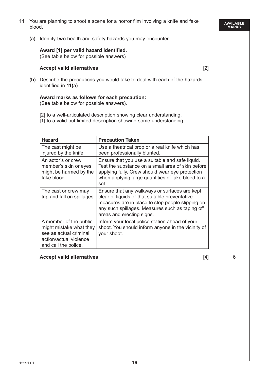- **11** You are planning to shoot a scene for a horror film involving a knife and fake blood.
	- **(a)** Identify **two** health and safety hazards you may encounter.

## **Award [1] per valid hazard identified.**

(See table below for possible answers)

## **Accept valid alternatives**. [2]

**(b)** Describe the precautions you would take to deal with each of the hazards identified in **11(a)**.

## **Award marks as follows for each precaution:**

(See table below for possible answers).

- [2] to a well-articulated description showing clear understanding.
- [1] to a valid but limited description showing some understanding.

| <b>Hazard</b>                                                                                                                 | <b>Precaution Taken</b>                                                                                                                                                                                                             |
|-------------------------------------------------------------------------------------------------------------------------------|-------------------------------------------------------------------------------------------------------------------------------------------------------------------------------------------------------------------------------------|
| The cast might be<br>injured by the knife.                                                                                    | Use a theatrical prop or a real knife which has<br>been professionally blunted.                                                                                                                                                     |
| An actor's or crew<br>member's skin or eyes<br>might be harmed by the<br>fake blood.                                          | Ensure that you use a suitable and safe liquid.<br>Test the substance on a small area of skin before<br>applying fully. Crew should wear eye protection<br>when applying large quantities of fake blood to a<br>set.                |
| The cast or crew may<br>trip and fall on spillages.                                                                           | Ensure that any walkways or surfaces are kept<br>clear of liquids or that suitable preventative<br>measures are in place to stop people slipping on<br>any such spillages. Measures such as taping off<br>areas and erecting signs. |
| A member of the public<br>might mistake what they<br>see as actual criminal<br>action/actual violence<br>and call the police. | Inform your local police station ahead of your<br>shoot. You should inform anyone in the vicinity of<br>your shoot.                                                                                                                 |

## **Accept valid alternatives.** 6

**AVAILABLE**<br>MARKS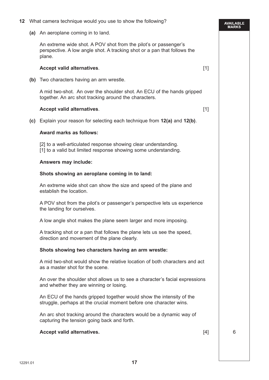| 12 | What camera technique would you use to show the following?                                                                                             |       | AVAILABLE<br>MARKS |  |
|----|--------------------------------------------------------------------------------------------------------------------------------------------------------|-------|--------------------|--|
|    | (a) An aeroplane coming in to land.                                                                                                                    |       |                    |  |
|    | An extreme wide shot. A POV shot from the pilot's or passenger's<br>perspective. A low angle shot. A tracking shot or a pan that follows the<br>plane. |       |                    |  |
|    | Accept valid alternatives.                                                                                                                             | $[1]$ |                    |  |
|    | (b) Two characters having an arm wrestle.                                                                                                              |       |                    |  |
|    | A mid two-shot. An over the shoulder shot. An ECU of the hands gripped<br>together. An arc shot tracking around the characters.                        |       |                    |  |
|    | Accept valid alternatives.                                                                                                                             | $[1]$ |                    |  |
|    | (c) Explain your reason for selecting each technique from 12(a) and 12(b).                                                                             |       |                    |  |
|    | <b>Award marks as follows:</b>                                                                                                                         |       |                    |  |
|    | [2] to a well-articulated response showing clear understanding.<br>[1] to a valid but limited response showing some understanding.                     |       |                    |  |
|    | Answers may include:                                                                                                                                   |       |                    |  |
|    | Shots showing an aeroplane coming in to land:                                                                                                          |       |                    |  |
|    | An extreme wide shot can show the size and speed of the plane and<br>establish the location.                                                           |       |                    |  |
|    | A POV shot from the pilot's or passenger's perspective lets us experience<br>the landing for ourselves.                                                |       |                    |  |
|    | A low angle shot makes the plane seem larger and more imposing.                                                                                        |       |                    |  |
|    | A tracking shot or a pan that follows the plane lets us see the speed,<br>direction and movement of the plane clearly.                                 |       |                    |  |
|    | Shots showing two characters having an arm wrestle:                                                                                                    |       |                    |  |
|    | A mid two-shot would show the relative location of both characters and act<br>as a master shot for the scene.                                          |       |                    |  |
|    | An over the shoulder shot allows us to see a character's facial expressions<br>and whether they are winning or losing.                                 |       |                    |  |
|    | An ECU of the hands gripped together would show the intensity of the<br>struggle, perhaps at the crucial moment before one character wins.             |       |                    |  |
|    | An arc shot tracking around the characters would be a dynamic way of<br>capturing the tension going back and forth.                                    |       |                    |  |
|    | Accept valid alternatives.                                                                                                                             | $[4]$ | 6                  |  |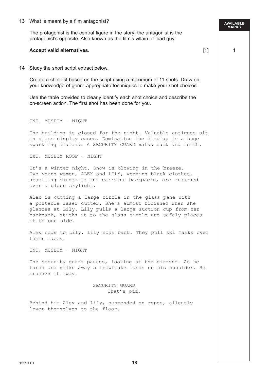#### **13** What is meant by a film antagonist?

The protagonist is the central figure in the story; the antagonist is the protagonist's opposite. Also known as the film's villain or 'bad guy'.

AVAILABLE<br>MARKS

#### **Accept valid alternatives.** The contraction of the contraction of the contraction of the contraction of the contraction of the contraction of the contraction of the contraction of the contraction of the contraction of the

**14** Study the short script extract below.

Create a shot-list based on the script using a maximum of 11 shots. Draw on your knowledge of genre-appropriate techniques to make your shot choices.

Use the table provided to clearly identify each shot choice and describe the on-screen action. The first shot has been done for you.

INT. MUSEUM – NIGHT

The building is closed for the night. Valuable antiques sit in glass display cases. Dominating the display is a huge sparkling diamond. A SECURITY GUARD walks back and forth.

EXT. MUSEUM ROOF – NIGHT

It's a winter night. Snow is blowing in the breeze. Two young women, ALEX and LILY, wearing black clothes, abseiling harnesses and carrying backpacks, are crouched over a glass skylight.

Alex is cutting a large circle in the glass pane with a portable laser cutter. She's almost finished when she glances at Lily. Lily pulls a large suction cup from her backpack, sticks it to the glass circle and safely places it to one side.

Alex nods to Lily. Lily nods back. They pull ski masks over their faces.

INT. MUSEUM – NIGHT

The security guard pauses, looking at the diamond. As he turns and walks away a snowflake lands on his shoulder. He brushes it away.

> SECURITY GUARD That's odd.

Behind him Alex and Lily, suspended on ropes, silently lower themselves to the floor.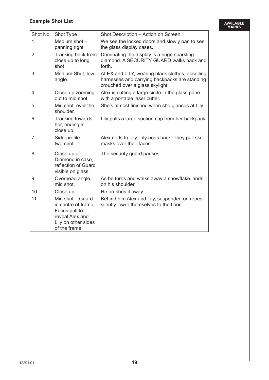AVAILABLE<br>MARKS

| Shot No.       | Shot Type                                                                                                           | Shot Description - Action on Screen                                                                                                 |
|----------------|---------------------------------------------------------------------------------------------------------------------|-------------------------------------------------------------------------------------------------------------------------------------|
| $\overline{1}$ | Medium shot $-$<br>panning right                                                                                    | We see the locked doors and slowly pan to see<br>the glass display cases.                                                           |
| $\overline{2}$ | Tracking back from<br>close up to long<br>shot                                                                      | Dominating the display is a huge sparkling<br>diamond. A SECURITY GUARD walks back and<br>forth.                                    |
| 3              | Medium Shot, low<br>angle.                                                                                          | ALEX and LILY, wearing black clothes, abseiling<br>harnesses and carrying backpacks are standing<br>crouched over a glass skylight. |
| 4              | Close up zooming<br>out to mid shot                                                                                 | Alex is cutting a large circle in the glass pane<br>with a portable laser cutter.                                                   |
| 5              | Mid shot, over the<br>shoulder.                                                                                     | She's almost finished when she glances at Lily.                                                                                     |
| 6              | Tracking towards<br>her, ending in<br>close up.                                                                     | Lily pulls a large suction cup from her backpack.                                                                                   |
| $\overline{7}$ | Side-profile<br>two-shot.                                                                                           | Alex nods to Lily. Lily nods back. They pull ski<br>masks over their faces.                                                         |
| 8              | Close up of<br>Diamond in case,<br>reflection of Guard<br>visible on glass.                                         | The security guard pauses.                                                                                                          |
| 9              | Overhead angle,<br>mid shot.                                                                                        | As he turns and walks away a snowflake lands<br>on his shoulder                                                                     |
| 10             | Close up                                                                                                            | He brushes it away.                                                                                                                 |
| 11             | Mid shot - Guard<br>in centre of frame.<br>Focus pull to<br>reveal Alex and<br>Lily on other sides<br>of the frame. | Behind him Alex and Lily, suspended on ropes,<br>silently lower themselves to the floor.                                            |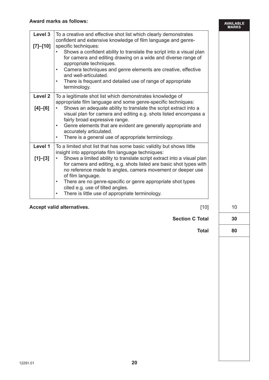|                          | Award marks as follows:                                                                                                                                                                                                                                                                                                                                                                                                                                                                                                                        | <b>AVAILABLE</b><br><b>MARKS</b> |
|--------------------------|------------------------------------------------------------------------------------------------------------------------------------------------------------------------------------------------------------------------------------------------------------------------------------------------------------------------------------------------------------------------------------------------------------------------------------------------------------------------------------------------------------------------------------------------|----------------------------------|
| Level 3                  | To a creative and effective shot list which clearly demonstrates<br>confident and extensive knowledge of film language and genre-                                                                                                                                                                                                                                                                                                                                                                                                              |                                  |
| $[7]-[10]$               | specific techniques:<br>Shows a confident ability to translate the script into a visual plan<br>for camera and editing drawing on a wide and diverse range of<br>appropriate techniques.<br>Camera techniques and genre elements are creative, effective<br>$\bullet$<br>and well-articulated.<br>There is frequent and detailed use of range of appropriate<br>$\bullet$<br>terminology.                                                                                                                                                      |                                  |
| Level 2<br>$[4]$ – $[6]$ | To a legitimate shot list which demonstrates knowledge of<br>appropriate film language and some genre-specific techniques:<br>Shows an adequate ability to translate the script extract into a<br>visual plan for camera and editing e.g. shots listed encompass a<br>fairly broad expressive range.<br>Genre elements that are evident are generally appropriate and<br>$\bullet$<br>accurately articulated.<br>There is a general use of appropriate terminology.<br>$\bullet$                                                               |                                  |
| Level 1<br>$[1]-[3]$     | To a limited shot list that has some basic validity but shows little<br>insight into appropriate film language techniques:<br>Shows a limited ability to translate script extract into a visual plan<br>for camera and editing, e.g. shots listed are basic shot types with<br>no reference made to angles, camera movement or deeper use<br>of film language.<br>There are no genre-specific or genre appropriate shot types<br>$\bullet$<br>cited e.g. use of tilted angles.<br>There is little use of appropriate terminology.<br>$\bullet$ |                                  |
|                          |                                                                                                                                                                                                                                                                                                                                                                                                                                                                                                                                                |                                  |

**Accept valid alternatives.** 10

Section C Total | 30

 **Total 30 Total 80**